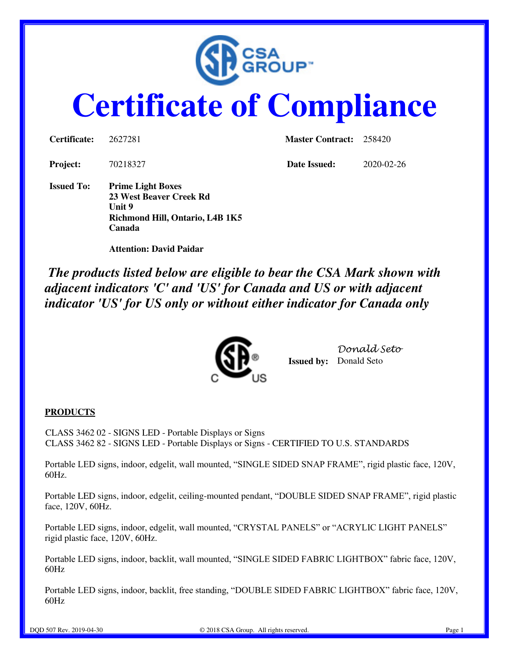

# **Certificate of Compliance**

| Certificate:      | 2627281                                                                                          | <b>Master Contract:</b> 258420 |            |
|-------------------|--------------------------------------------------------------------------------------------------|--------------------------------|------------|
| <b>Project:</b>   | 70218327                                                                                         | Date Issued:                   | 2020-02-26 |
| <b>Issued To:</b> | <b>Prime Light Boxes</b><br>23 West Beaver Creek Rd<br>Unit 9<br>Richmond Hill, Ontario, L4B 1K5 |                                |            |

 **Attention: David Paidar** 

**Canada**

*The products listed below are eligible to bear the CSA Mark shown with adjacent indicators 'C' and 'US' for Canada and US or with adjacent indicator 'US' for US only or without either indicator for Canada only*



**Issued by:** Donald Seto *Donald Seto* 

#### **PRODUCTS**

CLASS 3462 02 - SIGNS LED - Portable Displays or Signs CLASS 3462 82 - SIGNS LED - Portable Displays or Signs - CERTIFIED TO U.S. STANDARDS

Portable LED signs, indoor, edgelit, wall mounted, "SINGLE SIDED SNAP FRAME", rigid plastic face, 120V, 60Hz.

Portable LED signs, indoor, edgelit, ceiling-mounted pendant, "DOUBLE SIDED SNAP FRAME", rigid plastic face, 120V, 60Hz.

Portable LED signs, indoor, edgelit, wall mounted, "CRYSTAL PANELS" or "ACRYLIC LIGHT PANELS" rigid plastic face, 120V, 60Hz.

Portable LED signs, indoor, backlit, wall mounted, "SINGLE SIDED FABRIC LIGHTBOX" fabric face, 120V, 60Hz

Portable LED signs, indoor, backlit, free standing, "DOUBLE SIDED FABRIC LIGHTBOX" fabric face, 120V, 60Hz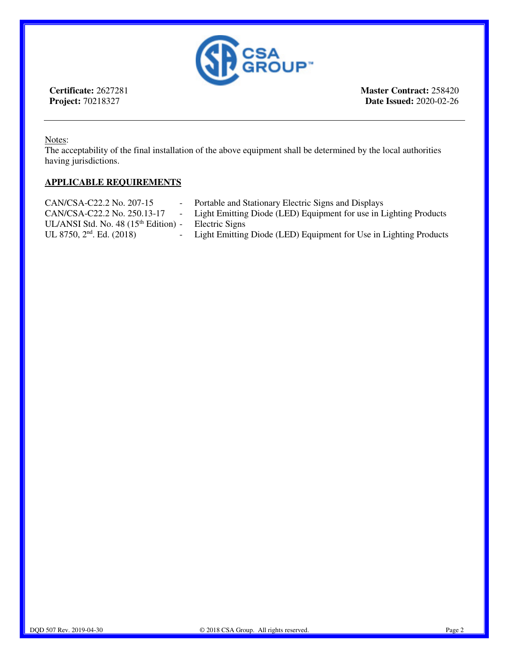

**Certificate:** 2627281 **Project:** 70218327

**Master Contract:** 258420 **Date Issued:** 2020-02-26

Notes:

The acceptability of the final installation of the above equipment shall be determined by the local authorities having jurisdictions.

#### **APPLICABLE REQUIREMENTS**

| CAN/CSA-C22.2 No. 207-15                         | - Portable and Stationary Electric Signs and Displays               |
|--------------------------------------------------|---------------------------------------------------------------------|
| CAN/CSA-C22.2 No. 250.13-17                      | - Light Emitting Diode (LED) Equipment for use in Lighting Products |
| UL/ANSI Std. No. 48 (15 <sup>th</sup> Edition) - | Electric Signs                                                      |
| UL 8750, $2nd$ . Ed. (2018)                      | - Light Emitting Diode (LED) Equipment for Use in Lighting Products |